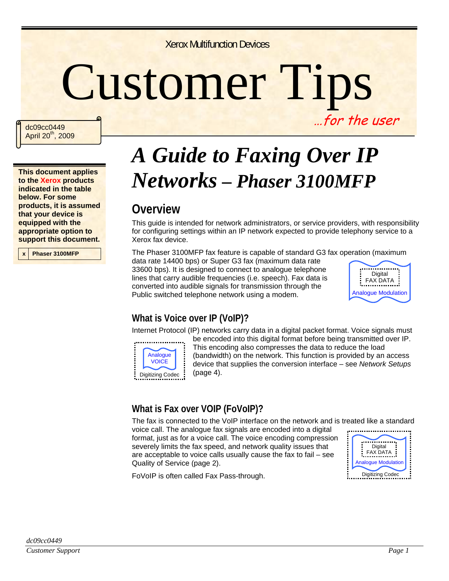Xerox Multifunction Devices

# Customer Tips …for the user

dc09cc0449 April 20<sup>th</sup>, 2009

**This document applies to the Xerox products indicated in the table below. For some products, it is assumed that your device is equipped with the appropriate option to support this document.** 

**x Phaser 3100MFP** 

# *A Guide to Faxing Over IP Networks – Phaser 3100MFP*

### **Overview**

This guide is intended for network administrators, or service providers, with responsibility for configuring settings within an IP network expected to provide telephony service to a Xerox fax device.

The Phaser 3100MFP fax feature is capable of standard G3 fax operation (maximum

data rate 14400 bps) or Super G3 fax (maximum data rate 33600 bps). It is designed to connect to analogue telephone lines that carry audible frequencies (i.e. speech). Fax data is converted into audible signals for transmission through the Public switched telephone network using a modem.



#### **What is Voice over IP (VoIP)?**

Internet Protocol (IP) networks carry data in a digital packet format. Voice signals must



be encoded into this digital format before being transmitted over IP. This encoding also compresses the data to reduce the load (bandwidth) on the network. This function is provided by an access device that supplies the conversion interface – see *Network Setups* (page 4).

#### **What is Fax over VOIP (FoVoIP)?**

The fax is connected to the VoIP interface on the network and is treated like a standard

voice call. The analogue fax signals are encoded into a digital format, just as for a voice call. The voice encoding compression severely limits the fax speed, and network quality issues that are acceptable to voice calls usually cause the fax to fail – see Quality of Service (page 2).



FoVoIP is often called Fax Pass-through.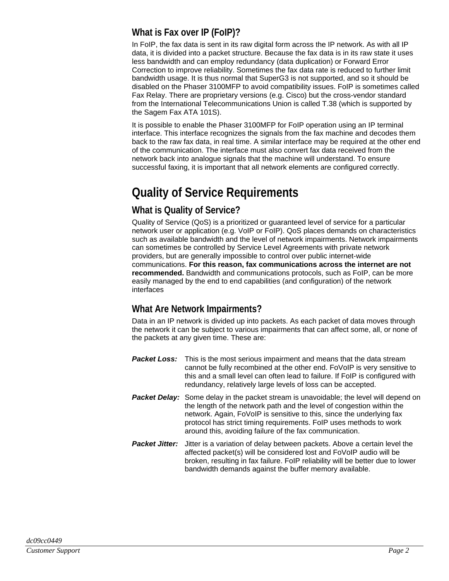#### **What is Fax over IP (FoIP)?**

In FoIP, the fax data is sent in its raw digital form across the IP network. As with all IP data, it is divided into a packet structure. Because the fax data is in its raw state it uses less bandwidth and can employ redundancy (data duplication) or Forward Error Correction to improve reliability. Sometimes the fax data rate is reduced to further limit bandwidth usage. It is thus normal that SuperG3 is not supported, and so it should be disabled on the Phaser 3100MFP to avoid compatibility issues. FoIP is sometimes called Fax Relay. There are proprietary versions (e.g. Cisco) but the cross-vendor standard from the International Telecommunications Union is called T.38 (which is supported by the Sagem Fax ATA 101S).

It is possible to enable the Phaser 3100MFP for FoIP operation using an IP terminal interface. This interface recognizes the signals from the fax machine and decodes them back to the raw fax data, in real time. A similar interface may be required at the other end of the communication. The interface must also convert fax data received from the network back into analogue signals that the machine will understand. To ensure successful faxing, it is important that all network elements are configured correctly.

# **Quality of Service Requirements**

#### **What is Quality of Service?**

Quality of Service (QoS) is a prioritized or guaranteed level of service for a particular network user or application (e.g. VoIP or FoIP). QoS places demands on characteristics such as available bandwidth and the level of network impairments. Network impairments can sometimes be controlled by Service Level Agreements with private network providers, but are generally impossible to control over public internet-wide communications. **For this reason, fax communications across the internet are not recommended.** Bandwidth and communications protocols, such as FoIP, can be more easily managed by the end to end capabilities (and configuration) of the network interfaces

#### **What Are Network Impairments?**

Data in an IP network is divided up into packets. As each packet of data moves through the network it can be subject to various impairments that can affect some, all, or none of the packets at any given time. These are:

- **Packet Loss:** This is the most serious impairment and means that the data stream cannot be fully recombined at the other end. FoVoIP is very sensitive to this and a small level can often lead to failure. If FoIP is configured with redundancy, relatively large levels of loss can be accepted.
- **Packet Delay:** Some delay in the packet stream is unavoidable; the level will depend on the length of the network path and the level of congestion within the network. Again, FoVoIP is sensitive to this, since the underlying fax protocol has strict timing requirements. FoIP uses methods to work around this, avoiding failure of the fax communication.
- **Packet Jitter:** Jitter is a variation of delay between packets. Above a certain level the affected packet(s) will be considered lost and FoVoIP audio will be broken, resulting in fax failure. FoIP reliability will be better due to lower bandwidth demands against the buffer memory available.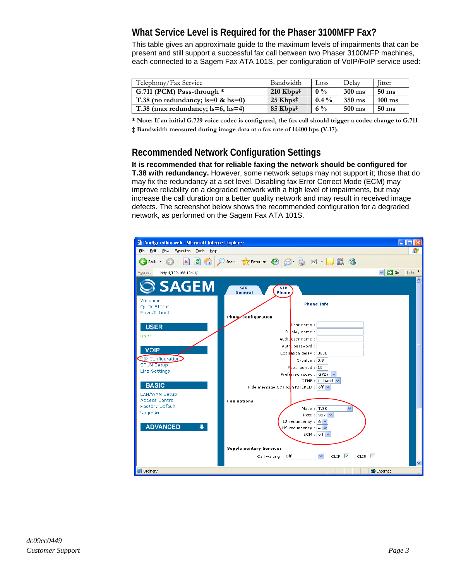#### **What Service Level is Required for the Phaser 3100MFP Fax?**

This table gives an approximate guide to the maximum levels of impairments that can be present and still support a successful fax call between two Phaser 3100MFP machines, each connected to a Sagem Fax ATA 101S, per configuration of VoIP/FoIP service used:

| Telephony/Fax Service                   | Bandwidth                                   | Loss    | Delay            | <b>litter</b>    |
|-----------------------------------------|---------------------------------------------|---------|------------------|------------------|
| G.711 (PCM) Pass-through $*$            | $210$ Kbps <sup><math>\ddagger</math></sup> | $0\%$   | $300 \text{ ms}$ | $50 \text{ ms}$  |
| T.38 (no redundancy; $ls=0$ & hs=0)     | $25$ Kbps <sup><math>\ddagger</math></sup>  | $0.4\%$ | $350 \text{ ms}$ | $100 \text{ ms}$ |
| T.38 (max redundancy; $ls=6$ , $hs=4$ ) | $85$ Kbps <sup>‡</sup>                      | $6\%$   | $500 \text{ ms}$ | $50 \text{ ms}$  |

**\* Note: If an initial G.729 voice codec is configured, the fax call should trigger a codec change to G.711 ‡ Bandwidth measured during image data at a fax rate of 14400 bps (V.17).** 

#### **Recommended Network Configuration Settings**

**It is recommended that for reliable faxing the network should be configured for T.38 with redundancy.** However, some network setups may not support it; those that do may fix the redundancy at a set level. Disabling fax Error Correct Mode (ECM) may improve reliability on a degraded network with a high level of impairments, but may increase the call duration on a better quality network and may result in received image defects. The screenshot below shows the recommended configuration for a degraded network, as performed on the Sagem Fax ATA 101S.